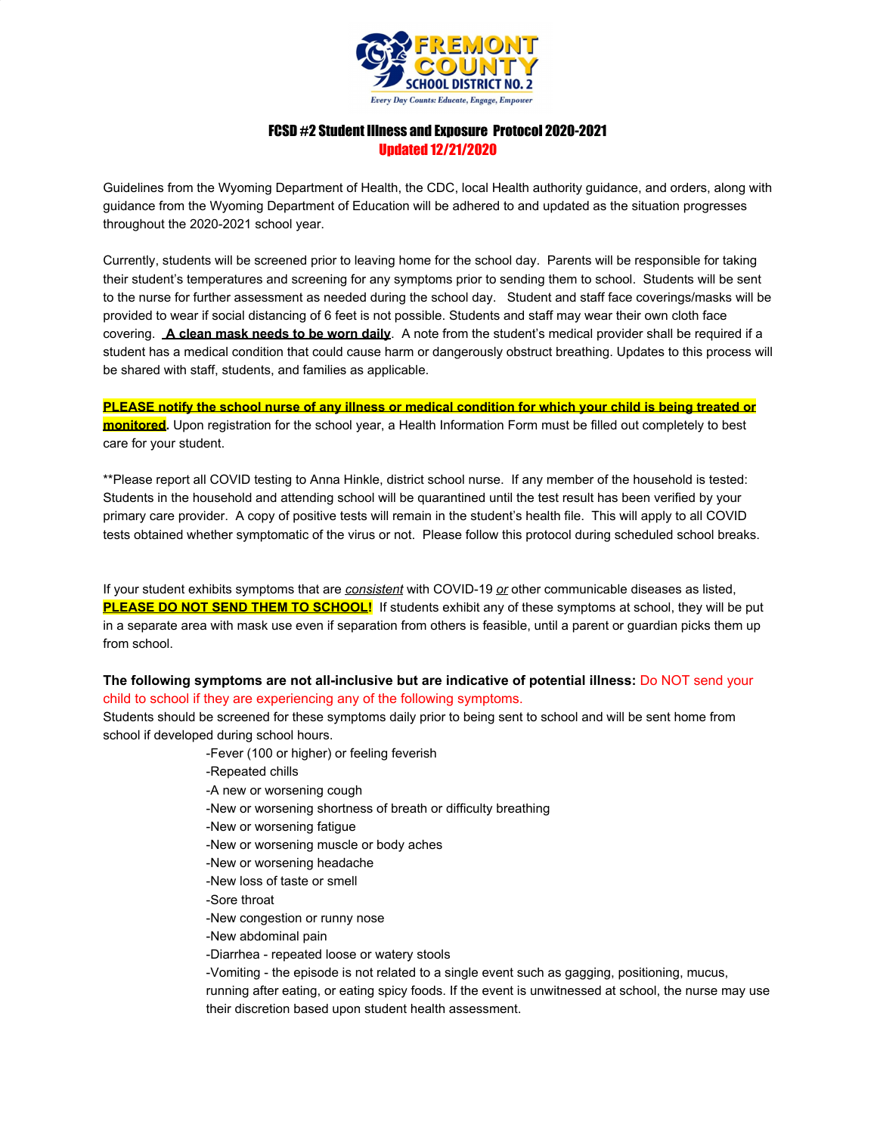

# FCSD #2 Student Illness and Exposure Protocol 2020-2021 Updated 12/21/2020

Guidelines from the Wyoming Department of Health, the CDC, local Health authority guidance, and orders, along with guidance from the Wyoming Department of Education will be adhered to and updated as the situation progresses throughout the 2020-2021 school year.

Currently, students will be screened prior to leaving home for the school day. Parents will be responsible for taking their student's temperatures and screening for any symptoms prior to sending them to school. Students will be sent to the nurse for further assessment as needed during the school day. Student and staff face coverings/masks will be provided to wear if social distancing of 6 feet is not possible. Students and staff may wear their own cloth face covering. **A clean mask needs to be worn daily**. A note from the student's medical provider shall be required if a student has a medical condition that could cause harm or dangerously obstruct breathing. Updates to this process will be shared with staff, students, and families as applicable.

**PLEASE notify the school nurse of any illness or medical condition for which your child is being treated or monitored.** Upon registration for the school year, a Health Information Form must be filled out completely to best care for your student.

\*\*Please report all COVID testing to Anna Hinkle, district school nurse. If any member of the household is tested: Students in the household and attending school will be quarantined until the test result has been verified by your primary care provider. A copy of positive tests will remain in the student's health file. This will apply to all COVID tests obtained whether symptomatic of the virus or not. Please follow this protocol during scheduled school breaks.

If your student exhibits symptoms that are *consistent* with COVID-19 *or* other communicable diseases as listed, **PLEASE DO NOT SEND THEM TO SCHOOL!** If students exhibit any of these symptoms at school, they will be put in a separate area with mask use even if separation from others is feasible, until a parent or guardian picks them up from school.

## **The following symptoms are not all-inclusive but are indicative of potential illness:** Do NOT send your child to school if they are experiencing any of the following symptoms.

Students should be screened for these symptoms daily prior to being sent to school and will be sent home from school if developed during school hours.

- -Fever (100 or higher) or feeling feverish
- -Repeated chills
- -A new or worsening cough
- -New or worsening shortness of breath or difficulty breathing
- -New or worsening fatigue
- -New or worsening muscle or body aches
- -New or worsening headache
- -New loss of taste or smell
- -Sore throat
- -New congestion or runny nose
- -New abdominal pain
- -Diarrhea repeated loose or watery stools

-Vomiting - the episode is not related to a single event such as gagging, positioning, mucus, running after eating, or eating spicy foods. If the event is unwitnessed at school, the nurse may use their discretion based upon student health assessment.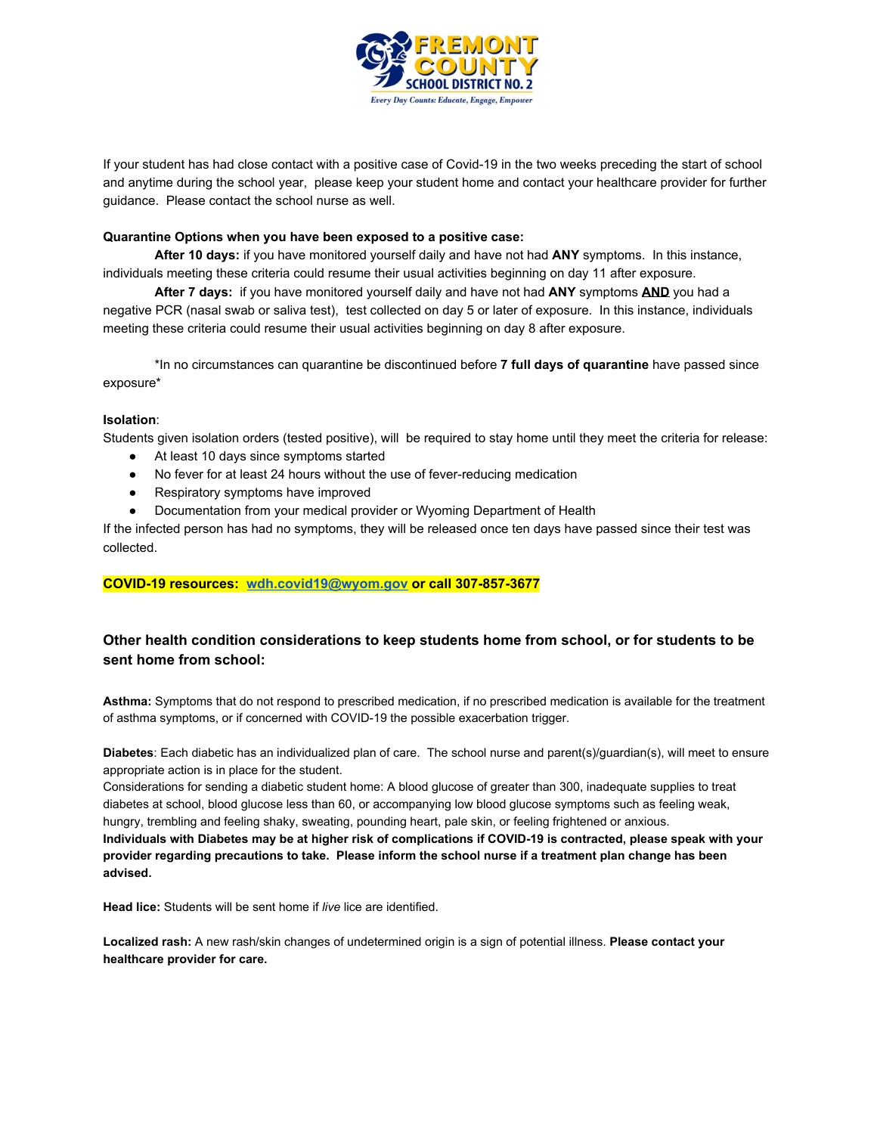

If your student has had close contact with a positive case of Covid-19 in the two weeks preceding the start of school and anytime during the school year, please keep your student home and contact your healthcare provider for further guidance. Please contact the school nurse as well.

### **Quarantine Options when you have been exposed to a positive case:**

**After 10 days:** if you have monitored yourself daily and have not had **ANY** symptoms. In this instance, individuals meeting these criteria could resume their usual activities beginning on day 11 after exposure.

**After 7 days:** if you have monitored yourself daily and have not had **ANY** symptoms **AND** you had a negative PCR (nasal swab or saliva test), test collected on day 5 or later of exposure. In this instance, individuals meeting these criteria could resume their usual activities beginning on day 8 after exposure.

\*In no circumstances can quarantine be discontinued before **7 full days of quarantine** have passed since exposure\*

#### **Isolation**:

Students given isolation orders (tested positive), will be required to stay home until they meet the criteria for release:

- At least 10 days since symptoms started
- No fever for at least 24 hours without the use of fever-reducing medication
- Respiratory symptoms have improved
- Documentation from your medical provider or Wyoming Department of Health

If the infected person has had no symptoms, they will be released once ten days have passed since their test was collected.

### **COVID-19 resources: [wdh.covid19@wyom.gov](mailto:wdh.covid19@wyom.gov) or call 307-857-3677**

## **Other health condition considerations to keep students home from school, or for students to be sent home from school:**

**Asthma:** Symptoms that do not respond to prescribed medication, if no prescribed medication is available for the treatment of asthma symptoms, or if concerned with COVID-19 the possible exacerbation trigger.

**Diabetes**: Each diabetic has an individualized plan of care. The school nurse and parent(s)/guardian(s), will meet to ensure appropriate action is in place for the student.

Considerations for sending a diabetic student home: A blood glucose of greater than 300, inadequate supplies to treat diabetes at school, blood glucose less than 60, or accompanying low blood glucose symptoms such as feeling weak, hungry, trembling and feeling shaky, sweating, pounding heart, pale skin, or feeling frightened or anxious. Individuals with Diabetes may be at higher risk of complications if COVID-19 is contracted, please speak with your provider regarding precautions to take. Please inform the school nurse if a treatment plan change has been **advised.**

**Head lice:** Students will be sent home if *live* lice are identified.

**Localized rash:** A new rash/skin changes of undetermined origin is a sign of potential illness. **Please contact your healthcare provider for care.**